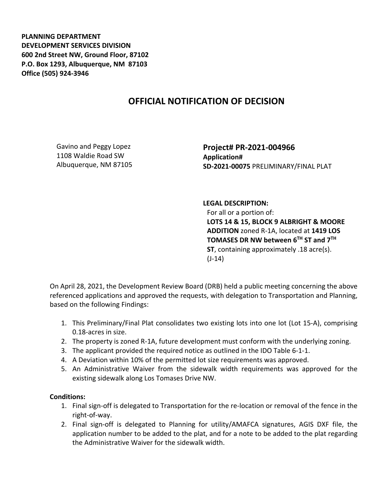**PLANNING DEPARTMENT DEVELOPMENT SERVICES DIVISION 600 2nd Street NW, Ground Floor, 87102 P.O. Box 1293, Albuquerque, NM 87103 Office (505) 924-3946** 

## **OFFICIAL NOTIFICATION OF DECISION**

Gavino and Peggy Lopez 1108 Waldie Road SW Albuquerque, NM 87105 **Project# PR-2021-004966 Application# SD-2021-00075** PRELIMINARY/FINAL PLAT

## **LEGAL DESCRIPTION:**

For all or a portion of: **LOTS 14 & 15, BLOCK 9 ALBRIGHT & MOORE ADDITION** zoned R-1A, located at **1419 LOS TOMASES DR NW between 6TH ST and 7TH ST**, containing approximately .18 acre(s).  $(J-14)$ 

On April 28, 2021, the Development Review Board (DRB) held a public meeting concerning the above referenced applications and approved the requests, with delegation to Transportation and Planning, based on the following Findings:

- 1. This Preliminary/Final Plat consolidates two existing lots into one lot (Lot 15-A), comprising 0.18-acres in size.
- 2. The property is zoned R-1A, future development must conform with the underlying zoning.
- 3. The applicant provided the required notice as outlined in the IDO Table 6-1-1.
- 4. A Deviation within 10% of the permitted lot size requirements was approved.
- 5. An Administrative Waiver from the sidewalk width requirements was approved for the existing sidewalk along Los Tomases Drive NW.

## **Conditions:**

- 1. Final sign-off is delegated to Transportation for the re-location or removal of the fence in the right-of-way.
- 2. Final sign-off is delegated to Planning for utility/AMAFCA signatures, AGIS DXF file, the application number to be added to the plat, and for a note to be added to the plat regarding the Administrative Waiver for the sidewalk width.